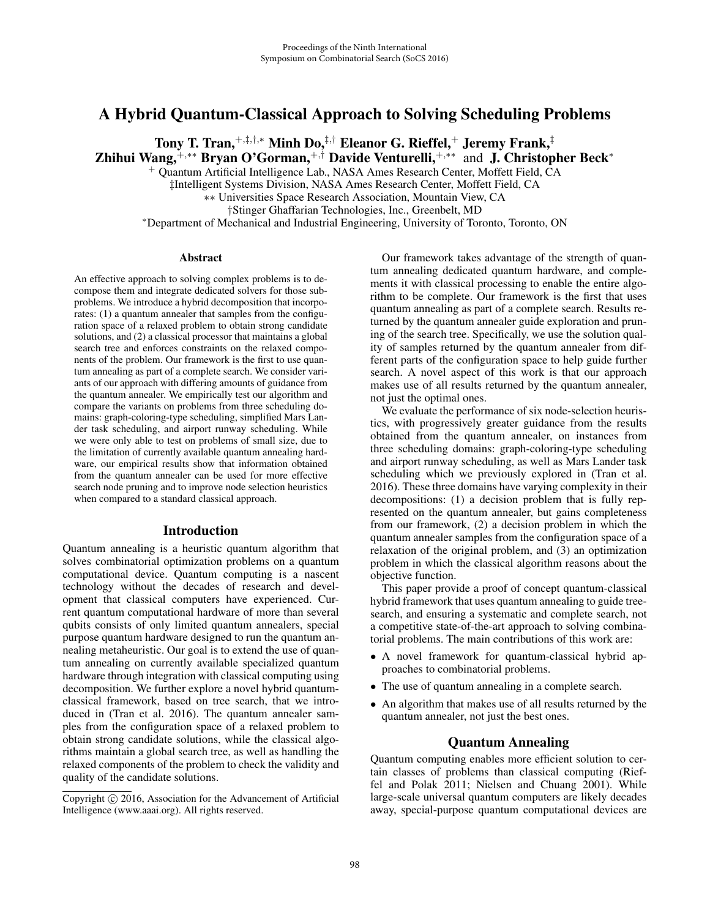# A Hybrid Quantum-Classical Approach to Solving Scheduling Problems

Tony T. Tran,<sup>+</sup>,‡,†,<sup>∗</sup> Minh Do,‡,† Eleanor G. Rieffel,<sup>+</sup> Jeremy Frank,‡ Zhihui Wang,<sup>+,</sup>\*\* Bryan O'Gorman,<sup>+,†</sup> Davide Venturelli,<sup>+,</sup>\*\* and J. Christopher Beck\*

<sup>+</sup> Quantum Artificial Intelligence Lab., NASA Ames Research Center, Moffett Field, CA

‡Intelligent Systems Division, NASA Ames Research Center, Moffett Field, CA

∗∗ Universities Space Research Association, Mountain View, CA

\*Department of Mechanical and Industrial Engineering, University of Toronto, Toronto, ON

#### Abstract

An effective approach to solving complex problems is to decompose them and integrate dedicated solvers for those subproblems. We introduce a hybrid decomposition that incorporates: (1) a quantum annealer that samples from the configuration space of a relaxed problem to obtain strong candidate solutions, and (2) a classical processor that maintains a global search tree and enforces constraints on the relaxed components of the problem. Our framework is the first to use quantum annealing as part of a complete search. We consider variants of our approach with differing amounts of guidance from the quantum annealer. We empirically test our algorithm and compare the variants on problems from three scheduling domains: graph-coloring-type scheduling, simplified Mars Lander task scheduling, and airport runway scheduling. While we were only able to test on problems of small size, due to the limitation of currently available quantum annealing hardware, our empirical results show that information obtained from the quantum annealer can be used for more effective search node pruning and to improve node selection heuristics when compared to a standard classical approach.

# Introduction

Quantum annealing is a heuristic quantum algorithm that solves combinatorial optimization problems on a quantum computational device. Quantum computing is a nascent technology without the decades of research and development that classical computers have experienced. Current quantum computational hardware of more than several qubits consists of only limited quantum annealers, special purpose quantum hardware designed to run the quantum annealing metaheuristic. Our goal is to extend the use of quantum annealing on currently available specialized quantum hardware through integration with classical computing using decomposition. We further explore a novel hybrid quantumclassical framework, based on tree search, that we introduced in (Tran et al. 2016). The quantum annealer samples from the configuration space of a relaxed problem to obtain strong candidate solutions, while the classical algorithms maintain a global search tree, as well as handling the relaxed components of the problem to check the validity and quality of the candidate solutions.

Our framework takes advantage of the strength of quantum annealing dedicated quantum hardware, and complements it with classical processing to enable the entire algorithm to be complete. Our framework is the first that uses quantum annealing as part of a complete search. Results returned by the quantum annealer guide exploration and pruning of the search tree. Specifically, we use the solution quality of samples returned by the quantum annealer from different parts of the configuration space to help guide further search. A novel aspect of this work is that our approach makes use of all results returned by the quantum annealer, not just the optimal ones.

We evaluate the performance of six node-selection heuristics, with progressively greater guidance from the results obtained from the quantum annealer, on instances from three scheduling domains: graph-coloring-type scheduling and airport runway scheduling, as well as Mars Lander task scheduling which we previously explored in (Tran et al. 2016). These three domains have varying complexity in their decompositions: (1) a decision problem that is fully represented on the quantum annealer, but gains completeness from our framework, (2) a decision problem in which the quantum annealer samples from the configuration space of a relaxation of the original problem, and (3) an optimization problem in which the classical algorithm reasons about the objective function.

This paper provide a proof of concept quantum-classical hybrid framework that uses quantum annealing to guide treesearch, and ensuring a systematic and complete search, not a competitive state-of-the-art approach to solving combinatorial problems. The main contributions of this work are:

- A novel framework for quantum-classical hybrid approaches to combinatorial problems.
- The use of quantum annealing in a complete search.
- An algorithm that makes use of all results returned by the quantum annealer, not just the best ones.

# Quantum Annealing

Quantum computing enables more efficient solution to certain classes of problems than classical computing (Rieffel and Polak 2011; Nielsen and Chuang 2001). While large-scale universal quantum computers are likely decades away, special-purpose quantum computational devices are

Copyright  $\odot$  2016, Association for the Advancement of Artificial Intelligence (www.aaai.org). All rights reserved.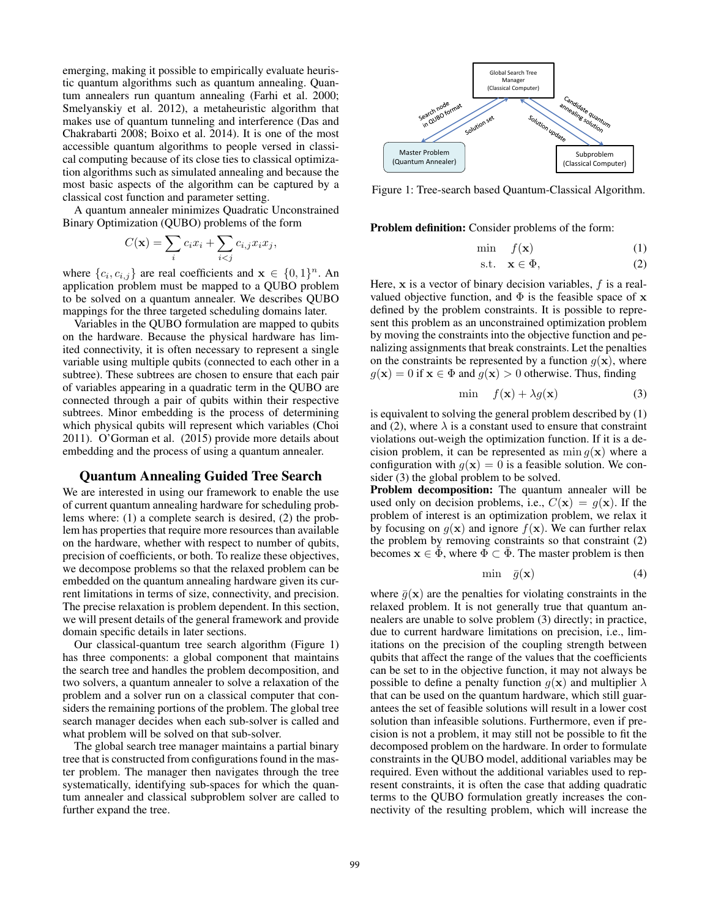emerging, making it possible to empirically evaluate heuristic quantum algorithms such as quantum annealing. Quantum annealers run quantum annealing (Farhi et al. 2000; Smelyanskiy et al. 2012), a metaheuristic algorithm that makes use of quantum tunneling and interference (Das and Chakrabarti 2008; Boixo et al. 2014). It is one of the most accessible quantum algorithms to people versed in classical computing because of its close ties to classical optimization algorithms such as simulated annealing and because the most basic aspects of the algorithm can be captured by a classical cost function and parameter setting.

A quantum annealer minimizes Quadratic Unconstrained Binary Optimization (QUBO) problems of the form

$$
C(\mathbf{x}) = \sum_{i} c_i x_i + \sum_{i < j} c_{i,j} x_i x_j,
$$

where  $\{c_i, c_{i,j}\}\$  are real coefficients and  $\mathbf{x} \in \{0, 1\}^n$ . An application problem must be mapped to a QUBO problem to be solved on a quantum annealer. We describes QUBO mappings for the three targeted scheduling domains later.

Variables in the QUBO formulation are mapped to qubits on the hardware. Because the physical hardware has limited connectivity, it is often necessary to represent a single variable using multiple qubits (connected to each other in a subtree). These subtrees are chosen to ensure that each pair of variables appearing in a quadratic term in the QUBO are connected through a pair of qubits within their respective subtrees. Minor embedding is the process of determining which physical qubits will represent which variables (Choi 2011). O'Gorman et al. (2015) provide more details about embedding and the process of using a quantum annealer.

## Quantum Annealing Guided Tree Search

We are interested in using our framework to enable the use of current quantum annealing hardware for scheduling problems where: (1) a complete search is desired, (2) the problem has properties that require more resources than available on the hardware, whether with respect to number of qubits, precision of coefficients, or both. To realize these objectives, we decompose problems so that the relaxed problem can be embedded on the quantum annealing hardware given its current limitations in terms of size, connectivity, and precision. The precise relaxation is problem dependent. In this section, we will present details of the general framework and provide domain specific details in later sections.

Our classical-quantum tree search algorithm (Figure 1) has three components: a global component that maintains the search tree and handles the problem decomposition, and two solvers, a quantum annealer to solve a relaxation of the problem and a solver run on a classical computer that considers the remaining portions of the problem. The global tree search manager decides when each sub-solver is called and what problem will be solved on that sub-solver.

The global search tree manager maintains a partial binary tree that is constructed from configurations found in the master problem. The manager then navigates through the tree systematically, identifying sub-spaces for which the quantum annealer and classical subproblem solver are called to further expand the tree.



Figure 1: Tree-search based Quantum-Classical Algorithm.

Problem definition: Consider problems of the form:

$$
\min \quad f(\mathbf{x}) \tag{1}
$$

$$
s.t. \quad \mathbf{x} \in \Phi,\tag{2}
$$

Here, **x** is a vector of binary decision variables, f is a realvalued objective function, and  $\Phi$  is the feasible space of **x** defined by the problem constraints. It is possible to represent this problem as an unconstrained optimization problem by moving the constraints into the objective function and penalizing assignments that break constraints. Let the penalties on the constraints be represented by a function  $q(\mathbf{x})$ , where  $g(\mathbf{x})=0$  if  $\mathbf{x} \in \Phi$  and  $g(\mathbf{x}) > 0$  otherwise. Thus, finding

$$
\min \quad f(\mathbf{x}) + \lambda g(\mathbf{x}) \tag{3}
$$

is equivalent to solving the general problem described by (1) and (2), where  $\lambda$  is a constant used to ensure that constraint violations out-weigh the optimization function. If it is a decision problem, it can be represented as  $\min g(\mathbf{x})$  where a configuration with  $g(x)=0$  is a feasible solution. We consider (3) the global problem to be solved.

Problem decomposition: The quantum annealer will be used only on decision problems, i.e.,  $C(\mathbf{x}) = g(\mathbf{x})$ . If the problem of interest is an optimization problem, we relax it by focusing on  $g(x)$  and ignore  $f(x)$ . We can further relax the problem by removing constraints so that constraint (2) becomes  $\mathbf{x} \in \overline{\Phi}$ , where  $\Phi \subset \overline{\Phi}$ . The master problem is then

$$
\min \quad \bar{g}(\mathbf{x}) \tag{4}
$$

where  $\bar{g}(\mathbf{x})$  are the penalties for violating constraints in the relaxed problem. It is not generally true that quantum annealers are unable to solve problem (3) directly; in practice, due to current hardware limitations on precision, i.e., limitations on the precision of the coupling strength between qubits that affect the range of the values that the coefficients can be set to in the objective function, it may not always be possible to define a penalty function  $g(x)$  and multiplier  $\lambda$ that can be used on the quantum hardware, which still guarantees the set of feasible solutions will result in a lower cost solution than infeasible solutions. Furthermore, even if precision is not a problem, it may still not be possible to fit the decomposed problem on the hardware. In order to formulate constraints in the QUBO model, additional variables may be required. Even without the additional variables used to represent constraints, it is often the case that adding quadratic terms to the QUBO formulation greatly increases the connectivity of the resulting problem, which will increase the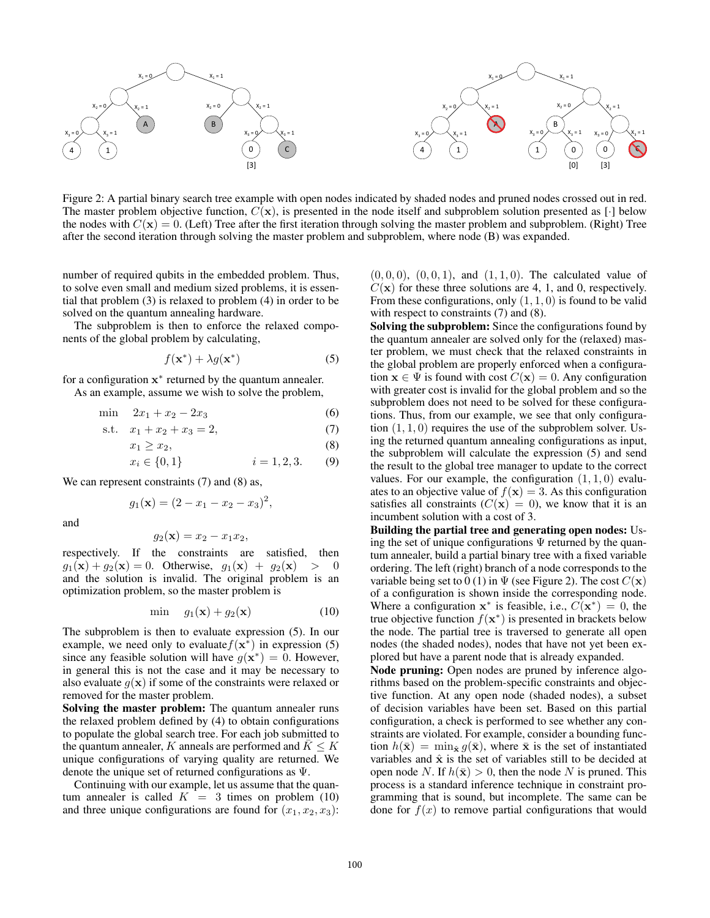

Figure 2: A partial binary search tree example with open nodes indicated by shaded nodes and pruned nodes crossed out in red. The master problem objective function,  $C(\mathbf{x})$ , is presented in the node itself and subproblem solution presented as [·] below the nodes with  $C(\mathbf{x})=0$ . (Left) Tree after the first iteration through solving the master problem and subproblem. (Right) Tree after the second iteration through solving the master problem and subproblem, where node (B) was expanded.

number of required qubits in the embedded problem. Thus, to solve even small and medium sized problems, it is essential that problem (3) is relaxed to problem (4) in order to be solved on the quantum annealing hardware.

The subproblem is then to enforce the relaxed components of the global problem by calculating,

$$
f(\mathbf{x}^*) + \lambda g(\mathbf{x}^*)
$$
 (5)

for a configuration **x**<sup>∗</sup> returned by the quantum annealer. As an example, assume we wish to solve the problem,

$$
\min \quad 2x_1 + x_2 - 2x_3 \tag{6}
$$

s.t. 
$$
x_1 + x_2 + x_3 = 2
$$
, (7)

$$
x_1 \ge x_2,\tag{8}
$$

$$
x_i \in \{0, 1\} \qquad \qquad i = 1, 2, 3. \qquad (9)
$$

We can represent constraints (7) and (8) as,

$$
g_1(\mathbf{x}) = (2 - x_1 - x_2 - x_3)^2,
$$

and

$$
g_2(\mathbf{x}) = x_2 - x_1 x_2,
$$

respectively. If the constraints are satisfied, then  $g_1(\mathbf{x}) + g_2(\mathbf{x}) = 0$ . Otherwise,  $g_1(\mathbf{x}) + g_2(\mathbf{x}) > 0$ and the solution is invalid. The original problem is an optimization problem, so the master problem is

$$
\min \quad g_1(\mathbf{x}) + g_2(\mathbf{x}) \tag{10}
$$

The subproblem is then to evaluate expression (5). In our example, we need only to evaluate  $f(x^*)$  in expression (5) since any feasible solution will have  $g(\mathbf{x}^*)=0$ . However, in general this is not the case and it may be necessary to also evaluate  $g(x)$  if some of the constraints were relaxed or removed for the master problem.

Solving the master problem: The quantum annealer runs the relaxed problem defined by (4) to obtain configurations to populate the global search tree. For each job submitted to the quantum annealer, K anneals are performed and  $K \leq K$ unique configurations of varying quality are returned. We denote the unique set of returned configurations as Ψ.

Continuing with our example, let us assume that the quantum annealer is called  $K = 3$  times on problem (10) and three unique configurations are found for  $(x_1, x_2, x_3)$ :

 $(0, 0, 0)$ ,  $(0, 0, 1)$ , and  $(1, 1, 0)$ . The calculated value of  $C(\mathbf{x})$  for these three solutions are 4, 1, and 0, respectively. From these configurations, only  $(1, 1, 0)$  is found to be valid with respect to constraints (7) and (8).

Solving the subproblem: Since the configurations found by the quantum annealer are solved only for the (relaxed) master problem, we must check that the relaxed constraints in the global problem are properly enforced when a configuration  $\mathbf{x} \in \Psi$  is found with cost  $C(\mathbf{x})=0$ . Any configuration with greater cost is invalid for the global problem and so the subproblem does not need to be solved for these configurations. Thus, from our example, we see that only configuration  $(1, 1, 0)$  requires the use of the subproblem solver. Using the returned quantum annealing configurations as input, the subproblem will calculate the expression (5) and send the result to the global tree manager to update to the correct values. For our example, the configuration  $(1, 1, 0)$  evaluates to an objective value of  $f(\mathbf{x})=3$ . As this configuration satisfies all constraints  $(C(\mathbf{x})=0)$ , we know that it is an incumbent solution with a cost of 3.

Building the partial tree and generating open nodes: Using the set of unique configurations  $\Psi$  returned by the quantum annealer, build a partial binary tree with a fixed variable ordering. The left (right) branch of a node corresponds to the variable being set to 0 (1) in  $\Psi$  (see Figure 2). The cost  $C(\mathbf{x})$ of a configuration is shown inside the corresponding node. Where a configuration  $x^*$  is feasible, i.e.,  $C(x^*)=0$ , the true objective function  $f(\mathbf{x}^*)$  is presented in brackets below the node. The partial tree is traversed to generate all open nodes (the shaded nodes), nodes that have not yet been explored but have a parent node that is already expanded.

Node pruning: Open nodes are pruned by inference algorithms based on the problem-specific constraints and objective function. At any open node (shaded nodes), a subset of decision variables have been set. Based on this partial configuration, a check is performed to see whether any constraints are violated. For example, consider a bounding function  $h(\bar{\mathbf{x}}) = \min_{\hat{\mathbf{x}}} g(\bar{\mathbf{x}})$ , where  $\bar{\mathbf{x}}$  is the set of instantiated variables and  $\hat{x}$  is the set of variables still to be decided at open node N. If  $h(\bar{\mathbf{x}}) > 0$ , then the node N is pruned. This process is a standard inference technique in constraint programming that is sound, but incomplete. The same can be done for  $f(x)$  to remove partial configurations that would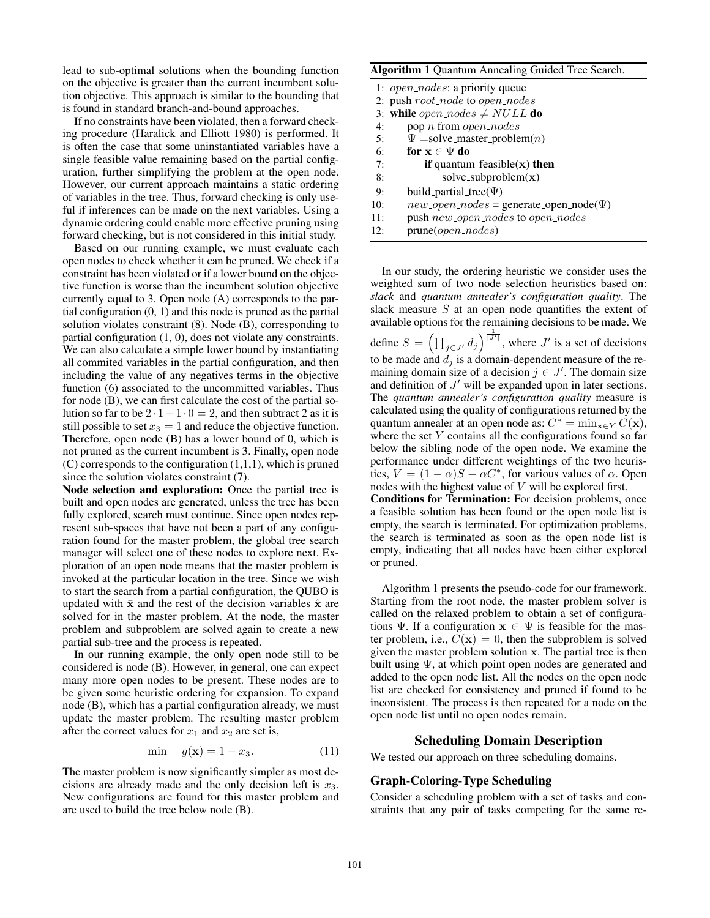lead to sub-optimal solutions when the bounding function on the objective is greater than the current incumbent solution objective. This approach is similar to the bounding that is found in standard branch-and-bound approaches.

If no constraints have been violated, then a forward checking procedure (Haralick and Elliott 1980) is performed. It is often the case that some uninstantiated variables have a single feasible value remaining based on the partial configuration, further simplifying the problem at the open node. However, our current approach maintains a static ordering of variables in the tree. Thus, forward checking is only useful if inferences can be made on the next variables. Using a dynamic ordering could enable more effective pruning using forward checking, but is not considered in this initial study.

Based on our running example, we must evaluate each open nodes to check whether it can be pruned. We check if a constraint has been violated or if a lower bound on the objective function is worse than the incumbent solution objective currently equal to 3. Open node (A) corresponds to the partial configuration (0, 1) and this node is pruned as the partial solution violates constraint (8). Node (B), corresponding to partial configuration (1, 0), does not violate any constraints. We can also calculate a simple lower bound by instantiating all commited variables in the partial configuration, and then including the value of any negatives terms in the objective function (6) associated to the uncommitted variables. Thus for node (B), we can first calculate the cost of the partial solution so far to be  $2 \cdot 1 + 1 \cdot 0 = 2$ , and then subtract 2 as it is still possible to set  $x_3 = 1$  and reduce the objective function. Therefore, open node (B) has a lower bound of 0, which is not pruned as the current incumbent is 3. Finally, open node  $(C)$  corresponds to the configuration  $(1,1,1)$ , which is pruned since the solution violates constraint (7).

Node selection and exploration: Once the partial tree is built and open nodes are generated, unless the tree has been fully explored, search must continue. Since open nodes represent sub-spaces that have not been a part of any configuration found for the master problem, the global tree search manager will select one of these nodes to explore next. Exploration of an open node means that the master problem is invoked at the particular location in the tree. Since we wish to start the search from a partial configuration, the QUBO is updated with  $\bar{x}$  and the rest of the decision variables  $\hat{x}$  are solved for in the master problem. At the node, the master problem and subproblem are solved again to create a new partial sub-tree and the process is repeated.

In our running example, the only open node still to be considered is node (B). However, in general, one can expect many more open nodes to be present. These nodes are to be given some heuristic ordering for expansion. To expand node (B), which has a partial configuration already, we must update the master problem. The resulting master problem after the correct values for  $x_1$  and  $x_2$  are set is,

$$
\min \quad g(\mathbf{x}) = 1 - x_3. \tag{11}
$$

The master problem is now significantly simpler as most decisions are already made and the only decision left is  $x_3$ . New configurations are found for this master problem and are used to build the tree below node (B).

### Algorithm 1 Quantum Annealing Guided Tree Search.

|                                           | 1: <i>open_nodes</i> : a priority queue         |  |  |  |  |  |  |
|-------------------------------------------|-------------------------------------------------|--|--|--|--|--|--|
| 2: push $root\_node$ to $open\_nodes$     |                                                 |  |  |  |  |  |  |
| 3: while <i>open_nodes</i> $\neq NULL$ do |                                                 |  |  |  |  |  |  |
| 4:                                        | pop <i>n</i> from <i>open_nodes</i>             |  |  |  |  |  |  |
| 5:                                        | $\Psi =$ solve_master_problem( <i>n</i> )       |  |  |  |  |  |  |
| 6:                                        | for $x \in \Psi$ do                             |  |  |  |  |  |  |
| 7:                                        | <b>if</b> quantum_feasible( $x$ ) <b>then</b>   |  |  |  |  |  |  |
| 8:                                        | solve_subproblem $(x)$                          |  |  |  |  |  |  |
| 9:                                        | build_partial_tree( $\Psi$ )                    |  |  |  |  |  |  |
| 10:                                       | $new\_open\_nodes = generate\_open\_node(\Psi)$ |  |  |  |  |  |  |
| 11:                                       | push new_open_nodes to open_nodes               |  |  |  |  |  |  |
| 12:                                       | $prune(open\_nodes)$                            |  |  |  |  |  |  |

In our study, the ordering heuristic we consider uses the weighted sum of two node selection heuristics based on: *slack* and *quantum annealer's configuration quality*. The slack measure S at an open node quantifies the extent of available options for the remaining decisions to be made. We define  $S = \left(\prod_{j \in J'} d_j\right)^{\frac{1}{|J'|}}$ , where  $J'$  is a set of decisions to be made and  $d_j$  is a domain-dependent measure of the remaining domain size of a decision  $j \in J'$ . The domain size and definition of  $J'$  will be expanded upon in later sections. The *quantum annealer's configuration quality* measure is calculated using the quality of configurations returned by the quantum annealer at an open node as:  $C^* = \min_{\mathbf{x} \in Y} C(\mathbf{x}),$ where the set  $Y$  contains all the configurations found so far below the sibling node of the open node. We examine the performance under different weightings of the two heuristics,  $V = (1 - \alpha)S - \alpha C^*$ , for various values of  $\alpha$ . Open nodes with the highest value of V will be explored first. Conditions for Termination: For decision problems, once

a feasible solution has been found or the open node list is empty, the search is terminated. For optimization problems, the search is terminated as soon as the open node list is empty, indicating that all nodes have been either explored or pruned.

Algorithm 1 presents the pseudo-code for our framework. Starting from the root node, the master problem solver is called on the relaxed problem to obtain a set of configurations  $\Psi$ . If a configuration  $\mathbf{x} \in \Psi$  is feasible for the master problem, i.e.,  $C(\mathbf{x})=0$ , then the subproblem is solved given the master problem solution **x**. The partial tree is then built using Ψ, at which point open nodes are generated and added to the open node list. All the nodes on the open node list are checked for consistency and pruned if found to be inconsistent. The process is then repeated for a node on the open node list until no open nodes remain.

# Scheduling Domain Description

We tested our approach on three scheduling domains.

### Graph-Coloring-Type Scheduling

Consider a scheduling problem with a set of tasks and constraints that any pair of tasks competing for the same re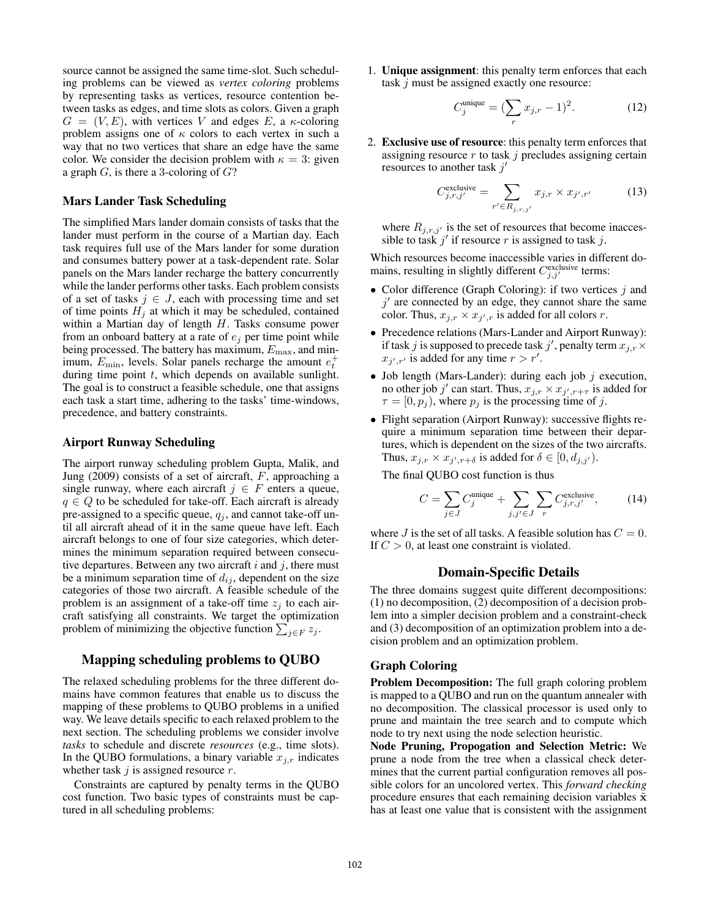source cannot be assigned the same time-slot. Such scheduling problems can be viewed as *vertex coloring* problems by representing tasks as vertices, resource contention between tasks as edges, and time slots as colors. Given a graph  $G = (V, E)$ , with vertices V and edges E, a  $\kappa$ -coloring problem assigns one of  $\kappa$  colors to each vertex in such a way that no two vertices that share an edge have the same color. We consider the decision problem with  $\kappa = 3$ : given a graph  $G$ , is there a 3-coloring of  $G$ ?

#### Mars Lander Task Scheduling

The simplified Mars lander domain consists of tasks that the lander must perform in the course of a Martian day. Each task requires full use of the Mars lander for some duration and consumes battery power at a task-dependent rate. Solar panels on the Mars lander recharge the battery concurrently while the lander performs other tasks. Each problem consists of a set of tasks  $j \in J$ , each with processing time and set of time points  $H_i$  at which it may be scheduled, contained within a Martian day of length H. Tasks consume power from an onboard battery at a rate of  $e_j$  per time point while being processed. The battery has maximum,  $E_{\text{max}}$ , and minimum,  $E_{\text{min}}$ , levels. Solar panels recharge the amount  $e_t^+$ during time point  $t$ , which depends on available sunlight. The goal is to construct a feasible schedule, one that assigns each task a start time, adhering to the tasks' time-windows, precedence, and battery constraints.

#### Airport Runway Scheduling

The airport runway scheduling problem Gupta, Malik, and Jung (2009) consists of a set of aircraft,  $F$ , approaching a single runway, where each aircraft  $j \in F$  enters a queue,  $q \in Q$  to be scheduled for take-off. Each aircraft is already pre-assigned to a specific queue,  $q_j$ , and cannot take-off until all aircraft ahead of it in the same queue have left. Each aircraft belongs to one of four size categories, which determines the minimum separation required between consecutive departures. Between any two aircraft  $i$  and  $j$ , there must be a minimum separation time of  $d_{ij}$ , dependent on the size categories of those two aircraft. A feasible schedule of the problem is an assignment of a take-off time  $z_j$  to each aircraft satisfying all constraints. We target the optimization problem of minimizing the objective function  $\sum_{j \in F} z_j$ .

#### Mapping scheduling problems to QUBO

The relaxed scheduling problems for the three different domains have common features that enable us to discuss the mapping of these problems to QUBO problems in a unified way. We leave details specific to each relaxed problem to the next section. The scheduling problems we consider involve *tasks* to schedule and discrete *resources* (e.g., time slots). In the QUBO formulations, a binary variable  $x_{j,r}$  indicates whether task  $j$  is assigned resource  $r$ .

Constraints are captured by penalty terms in the QUBO cost function. Two basic types of constraints must be captured in all scheduling problems:

1. Unique assignment: this penalty term enforces that each task  $j$  must be assigned exactly one resource:

$$
C_j^{\text{unique}} = (\sum_r x_{j,r} - 1)^2. \tag{12}
$$

2. Exclusive use of resource: this penalty term enforces that assigning resource  $r$  to task  $j$  precludes assigning certain resources to another task  $j'$ 

$$
C_{j,r,j'}^{\text{exclusive}} = \sum_{r' \in R_{j,r,j'}} x_{j,r} \times x_{j',r'} \tag{13}
$$

where  $R_{j,r,j'}$  is the set of resources that become inaccessible to task  $j'$  if resource r is assigned to task j.

Which resources become inaccessible varies in different domains, resulting in slightly different  $C_{j,j'}^{\text{exclusive}}$  terms:

- Color difference (Graph Coloring): if two vertices  $j$  and  $j'$  are connected by an edge, they cannot share the same color. Thus,  $x_{j,r} \times x_{j',r}$  is added for all colors r.
- Precedence relations (Mars-Lander and Airport Runway): if task j is supposed to precede task j', penalty term  $x_{j,r} \times$  $x_{j',r'}$  is added for any time  $r > r'$ .
- Job length (Mars-Lander): during each job  $j$  execution, no other job j' can start. Thus,  $x_{j,r} \times x_{j',r+\tau}$  is added for  $\tau = [0, p_j)$ , where  $p_j$  is the processing time of j.
- Flight separation (Airport Runway): successive flights require a minimum separation time between their departures, which is dependent on the sizes of the two aircrafts. Thus,  $x_{j,r} \times x_{j',r+\delta}$  is added for  $\delta \in [0, d_{j,j'})$ .

The final QUBO cost function is thus

$$
C = \sum_{j \in J} C_j^{\text{unique}} + \sum_{j, j' \in J} \sum_r C_{j, r, j'}^{\text{exclusive}}, \tag{14}
$$

where  $J$  is the set of all tasks. A feasible solution has  $C = 0$ . If  $C > 0$ , at least one constraint is violated.

# Domain-Specific Details

The three domains suggest quite different decompositions: (1) no decomposition, (2) decomposition of a decision problem into a simpler decision problem and a constraint-check and (3) decomposition of an optimization problem into a decision problem and an optimization problem.

### Graph Coloring

Problem Decomposition: The full graph coloring problem is mapped to a QUBO and run on the quantum annealer with no decomposition. The classical processor is used only to prune and maintain the tree search and to compute which node to try next using the node selection heuristic.

Node Pruning, Propogation and Selection Metric: We prune a node from the tree when a classical check determines that the current partial configuration removes all possible colors for an uncolored vertex. This *forward checking* procedure ensures that each remaining decision variables  $\tilde{\mathbf{x}}$ has at least one value that is consistent with the assignment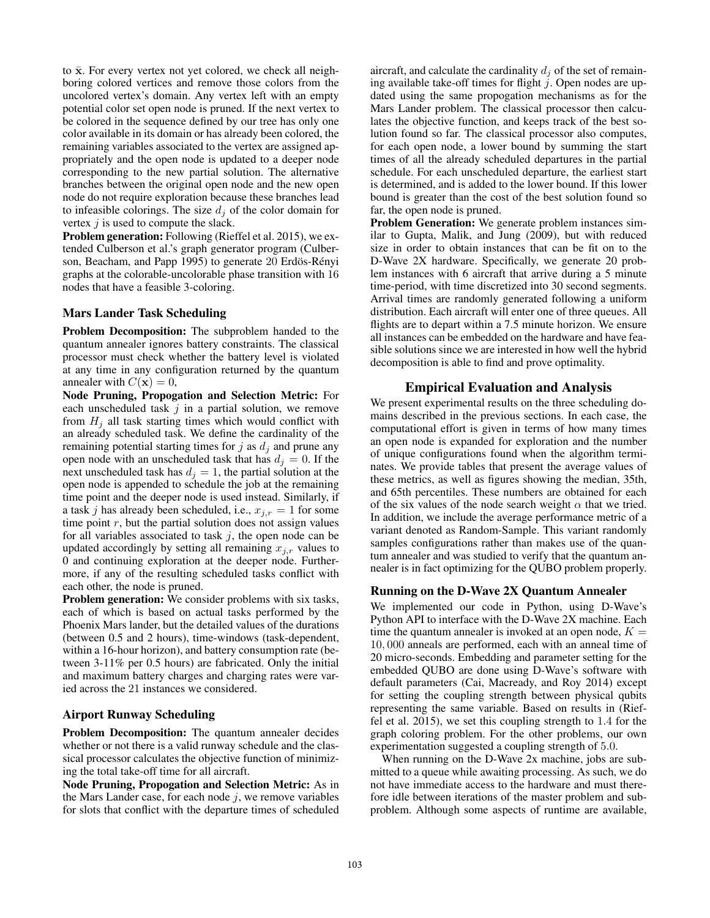to  $\bar{x}$ . For every vertex not yet colored, we check all neighboring colored vertices and remove those colors from the uncolored vertex's domain. Any vertex left with an empty potential color set open node is pruned. If the next vertex to be colored in the sequence defined by our tree has only one color available in its domain or has already been colored, the remaining variables associated to the vertex are assigned appropriately and the open node is updated to a deeper node corresponding to the new partial solution. The alternative branches between the original open node and the new open node do not require exploration because these branches lead to infeasible colorings. The size  $d_i$  of the color domain for vertex  $j$  is used to compute the slack.

Problem generation: Following (Rieffel et al. 2015), we extended Culberson et al.'s graph generator program (Culberson, Beacham, and Papp 1995) to generate 20 Erdös-Rényi graphs at the colorable-uncolorable phase transition with 16 nodes that have a feasible 3-coloring.

# Mars Lander Task Scheduling

Problem Decomposition: The subproblem handed to the quantum annealer ignores battery constraints. The classical processor must check whether the battery level is violated at any time in any configuration returned by the quantum annealer with  $C(\mathbf{x})=0$ ,

Node Pruning, Propogation and Selection Metric: For each unscheduled task  $j$  in a partial solution, we remove from  $H_i$  all task starting times which would conflict with an already scheduled task. We define the cardinality of the remaining potential starting times for  $j$  as  $d_i$  and prune any open node with an unscheduled task that has  $d_i = 0$ . If the next unscheduled task has  $d_j = 1$ , the partial solution at the open node is appended to schedule the job at the remaining time point and the deeper node is used instead. Similarly, if a task j has already been scheduled, i.e.,  $x_{j,r} = 1$  for some time point  $r$ , but the partial solution does not assign values for all variables associated to task  $j$ , the open node can be updated accordingly by setting all remaining  $x_{j,r}$  values to 0 and continuing exploration at the deeper node. Furthermore, if any of the resulting scheduled tasks conflict with each other, the node is pruned.

Problem generation: We consider problems with six tasks, each of which is based on actual tasks performed by the Phoenix Mars lander, but the detailed values of the durations (between 0.5 and 2 hours), time-windows (task-dependent, within a 16-hour horizon), and battery consumption rate (between 3-11% per 0.5 hours) are fabricated. Only the initial and maximum battery charges and charging rates were varied across the 21 instances we considered.

# Airport Runway Scheduling

Problem Decomposition: The quantum annealer decides whether or not there is a valid runway schedule and the classical processor calculates the objective function of minimizing the total take-off time for all aircraft.

Node Pruning, Propogation and Selection Metric: As in the Mars Lander case, for each node  $j$ , we remove variables for slots that conflict with the departure times of scheduled

aircraft, and calculate the cardinality  $d_i$  of the set of remaining available take-off times for flight  $j$ . Open nodes are updated using the same propogation mechanisms as for the Mars Lander problem. The classical processor then calculates the objective function, and keeps track of the best solution found so far. The classical processor also computes, for each open node, a lower bound by summing the start times of all the already scheduled departures in the partial schedule. For each unscheduled departure, the earliest start is determined, and is added to the lower bound. If this lower bound is greater than the cost of the best solution found so far, the open node is pruned.

Problem Generation: We generate problem instances similar to Gupta, Malik, and Jung (2009), but with reduced size in order to obtain instances that can be fit on to the D-Wave 2X hardware. Specifically, we generate 20 problem instances with 6 aircraft that arrive during a 5 minute time-period, with time discretized into 30 second segments. Arrival times are randomly generated following a uniform distribution. Each aircraft will enter one of three queues. All flights are to depart within a 7.5 minute horizon. We ensure all instances can be embedded on the hardware and have feasible solutions since we are interested in how well the hybrid decomposition is able to find and prove optimality.

# Empirical Evaluation and Analysis

We present experimental results on the three scheduling domains described in the previous sections. In each case, the computational effort is given in terms of how many times an open node is expanded for exploration and the number of unique configurations found when the algorithm terminates. We provide tables that present the average values of these metrics, as well as figures showing the median, 35th, and 65th percentiles. These numbers are obtained for each of the six values of the node search weight  $\alpha$  that we tried. In addition, we include the average performance metric of a variant denoted as Random-Sample. This variant randomly samples configurations rather than makes use of the quantum annealer and was studied to verify that the quantum annealer is in fact optimizing for the QUBO problem properly.

# Running on the D-Wave 2X Quantum Annealer

We implemented our code in Python, using D-Wave's Python API to interface with the D-Wave 2X machine. Each time the quantum annealer is invoked at an open node,  $K =$ 10, 000 anneals are performed, each with an anneal time of 20 micro-seconds. Embedding and parameter setting for the embedded QUBO are done using D-Wave's software with default parameters (Cai, Macready, and Roy 2014) except for setting the coupling strength between physical qubits representing the same variable. Based on results in (Rieffel et al. 2015), we set this coupling strength to 1.4 for the graph coloring problem. For the other problems, our own experimentation suggested a coupling strength of 5.0.

When running on the D-Wave 2x machine, jobs are submitted to a queue while awaiting processing. As such, we do not have immediate access to the hardware and must therefore idle between iterations of the master problem and subproblem. Although some aspects of runtime are available,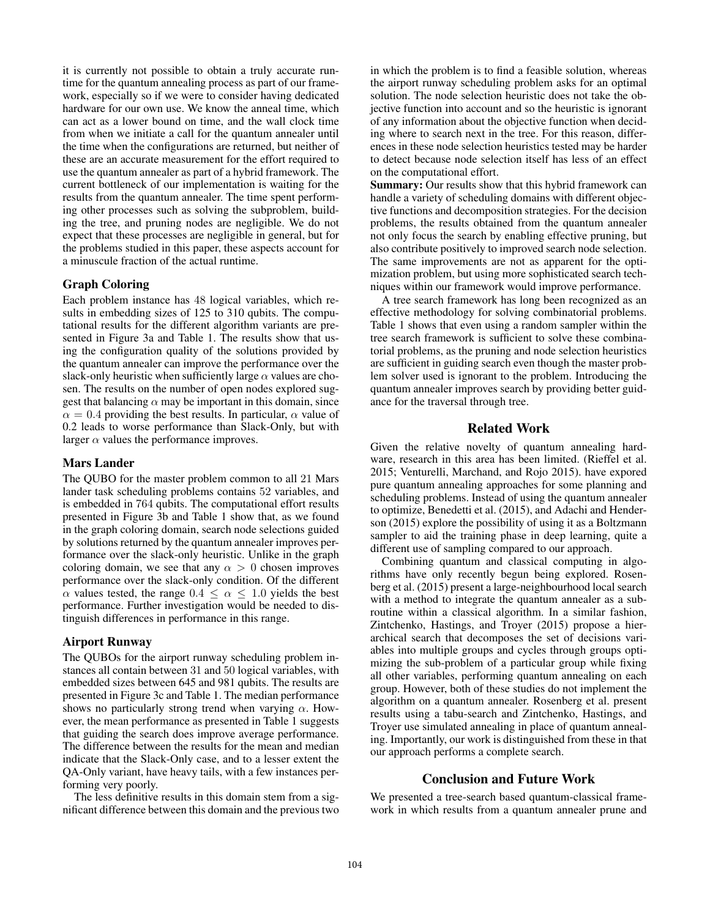it is currently not possible to obtain a truly accurate runtime for the quantum annealing process as part of our framework, especially so if we were to consider having dedicated hardware for our own use. We know the anneal time, which can act as a lower bound on time, and the wall clock time from when we initiate a call for the quantum annealer until the time when the configurations are returned, but neither of these are an accurate measurement for the effort required to use the quantum annealer as part of a hybrid framework. The current bottleneck of our implementation is waiting for the results from the quantum annealer. The time spent performing other processes such as solving the subproblem, building the tree, and pruning nodes are negligible. We do not expect that these processes are negligible in general, but for the problems studied in this paper, these aspects account for a minuscule fraction of the actual runtime.

# Graph Coloring

Each problem instance has 48 logical variables, which results in embedding sizes of 125 to 310 qubits. The computational results for the different algorithm variants are presented in Figure 3a and Table 1. The results show that using the configuration quality of the solutions provided by the quantum annealer can improve the performance over the slack-only heuristic when sufficiently large  $\alpha$  values are chosen. The results on the number of open nodes explored suggest that balancing  $\alpha$  may be important in this domain, since  $\alpha = 0.4$  providing the best results. In particular,  $\alpha$  value of 0.2 leads to worse performance than Slack-Only, but with larger  $\alpha$  values the performance improves.

# Mars Lander

The QUBO for the master problem common to all 21 Mars lander task scheduling problems contains 52 variables, and is embedded in 764 qubits. The computational effort results presented in Figure 3b and Table 1 show that, as we found in the graph coloring domain, search node selections guided by solutions returned by the quantum annealer improves performance over the slack-only heuristic. Unlike in the graph coloring domain, we see that any  $\alpha > 0$  chosen improves performance over the slack-only condition. Of the different  $\alpha$  values tested, the range  $0.4 \leq \alpha \leq 1.0$  yields the best performance. Further investigation would be needed to distinguish differences in performance in this range.

#### Airport Runway

The QUBOs for the airport runway scheduling problem instances all contain between 31 and 50 logical variables, with embedded sizes between 645 and 981 qubits. The results are presented in Figure 3c and Table 1. The median performance shows no particularly strong trend when varying  $\alpha$ . However, the mean performance as presented in Table 1 suggests that guiding the search does improve average performance. The difference between the results for the mean and median indicate that the Slack-Only case, and to a lesser extent the QA-Only variant, have heavy tails, with a few instances performing very poorly.

The less definitive results in this domain stem from a significant difference between this domain and the previous two in which the problem is to find a feasible solution, whereas the airport runway scheduling problem asks for an optimal solution. The node selection heuristic does not take the objective function into account and so the heuristic is ignorant of any information about the objective function when deciding where to search next in the tree. For this reason, differences in these node selection heuristics tested may be harder to detect because node selection itself has less of an effect on the computational effort.

Summary: Our results show that this hybrid framework can handle a variety of scheduling domains with different objective functions and decomposition strategies. For the decision problems, the results obtained from the quantum annealer not only focus the search by enabling effective pruning, but also contribute positively to improved search node selection. The same improvements are not as apparent for the optimization problem, but using more sophisticated search techniques within our framework would improve performance.

A tree search framework has long been recognized as an effective methodology for solving combinatorial problems. Table 1 shows that even using a random sampler within the tree search framework is sufficient to solve these combinatorial problems, as the pruning and node selection heuristics are sufficient in guiding search even though the master problem solver used is ignorant to the problem. Introducing the quantum annealer improves search by providing better guidance for the traversal through tree.

# Related Work

Given the relative novelty of quantum annealing hardware, research in this area has been limited. (Rieffel et al. 2015; Venturelli, Marchand, and Rojo 2015). have expored pure quantum annealing approaches for some planning and scheduling problems. Instead of using the quantum annealer to optimize, Benedetti et al. (2015), and Adachi and Henderson (2015) explore the possibility of using it as a Boltzmann sampler to aid the training phase in deep learning, quite a different use of sampling compared to our approach.

Combining quantum and classical computing in algorithms have only recently begun being explored. Rosenberg et al. (2015) present a large-neighbourhood local search with a method to integrate the quantum annealer as a subroutine within a classical algorithm. In a similar fashion, Zintchenko, Hastings, and Troyer (2015) propose a hierarchical search that decomposes the set of decisions variables into multiple groups and cycles through groups optimizing the sub-problem of a particular group while fixing all other variables, performing quantum annealing on each group. However, both of these studies do not implement the algorithm on a quantum annealer. Rosenberg et al. present results using a tabu-search and Zintchenko, Hastings, and Troyer use simulated annealing in place of quantum annealing. Importantly, our work is distinguished from these in that our approach performs a complete search.

## Conclusion and Future Work

We presented a tree-search based quantum-classical framework in which results from a quantum annealer prune and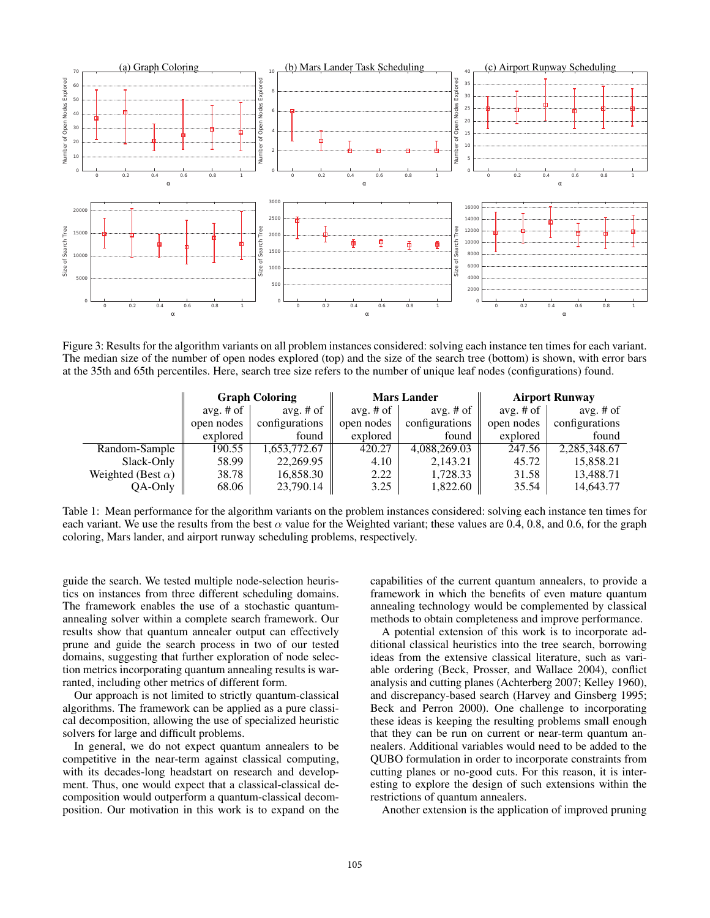

Figure 3: Results for the algorithm variants on all problem instances considered: solving each instance ten times for each variant. The median size of the number of open nodes explored (top) and the size of the search tree (bottom) is shown, with error bars at the 35th and 65th percentiles. Here, search tree size refers to the number of unique leaf nodes (configurations) found.

|                           | <b>Graph Coloring</b> |                | <b>Mars Lander</b> |                | <b>Airport Runway</b> |                |
|---------------------------|-----------------------|----------------|--------------------|----------------|-----------------------|----------------|
|                           | avg. $#$ of           | avg. $#$ of    | avg. $#$ of        | avg. $#$ of    | avg. $#$ of           | avg. $#$ of    |
|                           | open nodes            | configurations | open nodes         | configurations | open nodes            | configurations |
|                           | explored              | found          | explored           | found          | explored              | found          |
| Random-Sample             | 190.55                | 1,653,772.67   | 420.27             | 4,088,269.03   | 247.56                | 2,285,348.67   |
| Slack-Only                | 58.99                 | 22,269.95      | 4.10               | 2,143.21       | 45.72                 | 15,858.21      |
| Weighted (Best $\alpha$ ) | 38.78                 | 16,858.30      | 2.22               | 1,728.33       | 31.58                 | 13,488.71      |
| QA-Only                   | 68.06                 | 23,790.14      | 3.25               | 1,822.60       | 35.54                 | 14,643.77      |

Table 1: Mean performance for the algorithm variants on the problem instances considered: solving each instance ten times for each variant. We use the results from the best  $\alpha$  value for the Weighted variant; these values are 0.4, 0.8, and 0.6, for the graph coloring, Mars lander, and airport runway scheduling problems, respectively.

guide the search. We tested multiple node-selection heuristics on instances from three different scheduling domains. The framework enables the use of a stochastic quantumannealing solver within a complete search framework. Our results show that quantum annealer output can effectively prune and guide the search process in two of our tested domains, suggesting that further exploration of node selection metrics incorporating quantum annealing results is warranted, including other metrics of different form.

Our approach is not limited to strictly quantum-classical algorithms. The framework can be applied as a pure classical decomposition, allowing the use of specialized heuristic solvers for large and difficult problems.

In general, we do not expect quantum annealers to be competitive in the near-term against classical computing, with its decades-long headstart on research and development. Thus, one would expect that a classical-classical decomposition would outperform a quantum-classical decomposition. Our motivation in this work is to expand on the capabilities of the current quantum annealers, to provide a framework in which the benefits of even mature quantum annealing technology would be complemented by classical methods to obtain completeness and improve performance.

A potential extension of this work is to incorporate additional classical heuristics into the tree search, borrowing ideas from the extensive classical literature, such as variable ordering (Beck, Prosser, and Wallace 2004), conflict analysis and cutting planes (Achterberg 2007; Kelley 1960), and discrepancy-based search (Harvey and Ginsberg 1995; Beck and Perron 2000). One challenge to incorporating these ideas is keeping the resulting problems small enough that they can be run on current or near-term quantum annealers. Additional variables would need to be added to the QUBO formulation in order to incorporate constraints from cutting planes or no-good cuts. For this reason, it is interesting to explore the design of such extensions within the restrictions of quantum annealers.

Another extension is the application of improved pruning